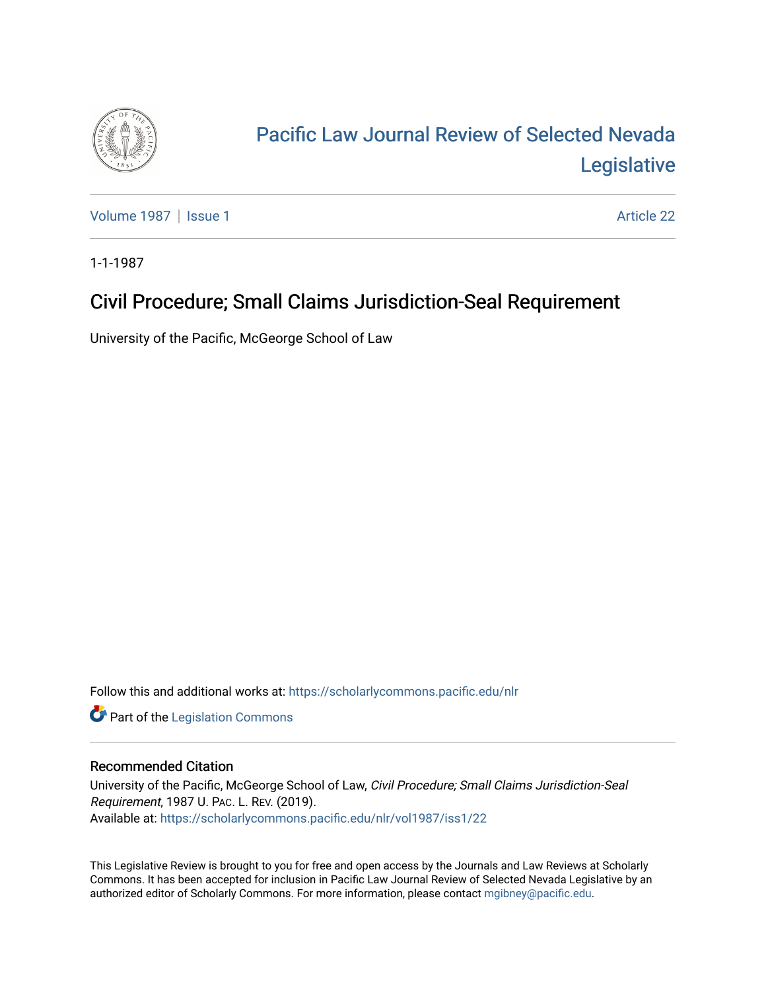

## [Pacific Law Journal Review of Selected Nevada](https://scholarlycommons.pacific.edu/nlr)  [Legislative](https://scholarlycommons.pacific.edu/nlr)

[Volume 1987](https://scholarlycommons.pacific.edu/nlr/vol1987) | [Issue 1](https://scholarlycommons.pacific.edu/nlr/vol1987/iss1) Article 22

1-1-1987

## Civil Procedure; Small Claims Jurisdiction-Seal Requirement

University of the Pacific, McGeorge School of Law

Follow this and additional works at: [https://scholarlycommons.pacific.edu/nlr](https://scholarlycommons.pacific.edu/nlr?utm_source=scholarlycommons.pacific.edu%2Fnlr%2Fvol1987%2Fiss1%2F22&utm_medium=PDF&utm_campaign=PDFCoverPages) 

**Part of the [Legislation Commons](http://network.bepress.com/hgg/discipline/859?utm_source=scholarlycommons.pacific.edu%2Fnlr%2Fvol1987%2Fiss1%2F22&utm_medium=PDF&utm_campaign=PDFCoverPages)** 

## Recommended Citation

University of the Pacific, McGeorge School of Law, Civil Procedure; Small Claims Jurisdiction-Seal Requirement, 1987 U. PAC. L. REV. (2019). Available at: [https://scholarlycommons.pacific.edu/nlr/vol1987/iss1/22](https://scholarlycommons.pacific.edu/nlr/vol1987/iss1/22?utm_source=scholarlycommons.pacific.edu%2Fnlr%2Fvol1987%2Fiss1%2F22&utm_medium=PDF&utm_campaign=PDFCoverPages)

This Legislative Review is brought to you for free and open access by the Journals and Law Reviews at Scholarly Commons. It has been accepted for inclusion in Pacific Law Journal Review of Selected Nevada Legislative by an authorized editor of Scholarly Commons. For more information, please contact [mgibney@pacific.edu](mailto:mgibney@pacific.edu).